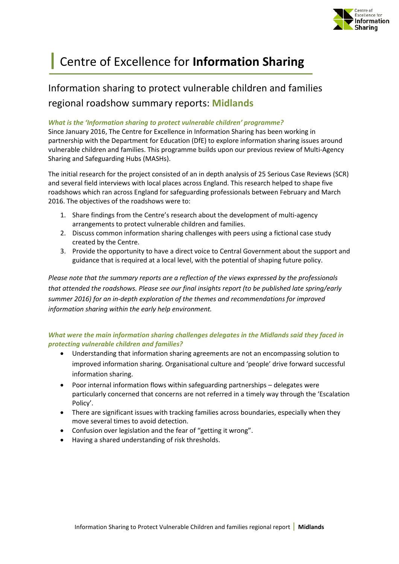

# **|** Centre of Excellence for **Information Sharing**

# Information sharing to protect vulnerable children and families regional roadshow summary reports: **Midlands**

#### *What is the 'Information sharing to protect vulnerable children' programme?*

Since January 2016, The Centre for Excellence in Information Sharing has been working in partnership with the Department for Education (DfE) to explore information sharing issues around vulnerable children and families. This programme builds upon our previous review of Multi-Agency Sharing and Safeguarding Hubs (MASHs).

The initial research for the project consisted of an in depth analysis of 25 Serious Case Reviews (SCR) and several field interviews with local places across England. This research helped to shape five roadshows which ran across England for safeguarding professionals between February and March 2016. The objectives of the roadshows were to:

- 1. Share findings from the Centre's research about the development of multi-agency arrangements to protect vulnerable children and families.
- 2. Discuss common information sharing challenges with peers using a fictional case study created by the Centre.
- 3. Provide the opportunity to have a direct voice to Central Government about the support and guidance that is required at a local level, with the potential of shaping future policy.

*Please note that the summary reports are a reflection of the views expressed by the professionals that attended the roadshows. Please see our final insights report (to be published late spring/early summer 2016) for an in-depth exploration of the themes and recommendations for improved information sharing within the early help environment.*

### *What were the main information sharing challenges delegates in the Midlands said they faced in protecting vulnerable children and families?*

- Understanding that information sharing agreements are not an encompassing solution to improved information sharing. Organisational culture and 'people' drive forward successful information sharing.
- Poor internal information flows within safeguarding partnerships delegates were particularly concerned that concerns are not referred in a timely way through the 'Escalation Policy'.
- There are significant issues with tracking families across boundaries, especially when they move several times to avoid detection.
- Confusion over legislation and the fear of "getting it wrong".
- Having a shared understanding of risk thresholds.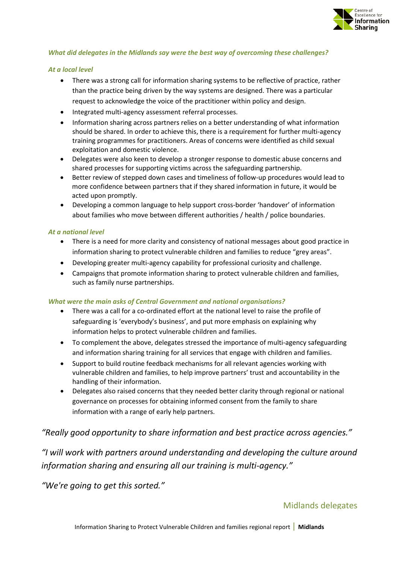

#### *What did delegates in the Midlands say were the best way of overcoming these challenges?*

#### *At a local level*

- There was a strong call for information sharing systems to be reflective of practice, rather than the practice being driven by the way systems are designed. There was a particular request to acknowledge the voice of the practitioner within policy and design.
- Integrated multi-agency assessment referral processes.
- Information sharing across partners relies on a better understanding of what information should be shared. In order to achieve this, there is a requirement for further multi-agency training programmes for practitioners. Areas of concerns were identified as child sexual exploitation and domestic violence.
- Delegates were also keen to develop a stronger response to domestic abuse concerns and shared processes for supporting victims across the safeguarding partnership.
- Better review of stepped down cases and timeliness of follow-up procedures would lead to more confidence between partners that if they shared information in future, it would be acted upon promptly.
- Developing a common language to help support cross-border 'handover' of information about families who move between different authorities / health / police boundaries.

#### *At a national level*

- There is a need for more clarity and consistency of national messages about good practice in information sharing to protect vulnerable children and families to reduce "grey areas".
- Developing greater multi-agency capability for professional curiosity and challenge.
- Campaigns that promote information sharing to protect vulnerable children and families, such as family nurse partnerships.

#### *What were the main asks of Central Government and national organisations?*

- There was a call for a co-ordinated effort at the national level to raise the profile of safeguarding is 'everybody's business', and put more emphasis on explaining why information helps to protect vulnerable children and families.
- To complement the above, delegates stressed the importance of multi-agency safeguarding and information sharing training for all services that engage with children and families.
- Support to build routine feedback mechanisms for all relevant agencies working with vulnerable children and families, to help improve partners' trust and accountability in the handling of their information.
- Delegates also raised concerns that they needed better clarity through regional or national governance on processes for obtaining informed consent from the family to share information with a range of early help partners.

# *"Really good opportunity to share information and best practice across agencies."*

*"I will work with partners around understanding and developing the culture around information sharing and ensuring all our training is multi-agency."*

*"We're going to get this sorted."*

# Midlands delegates